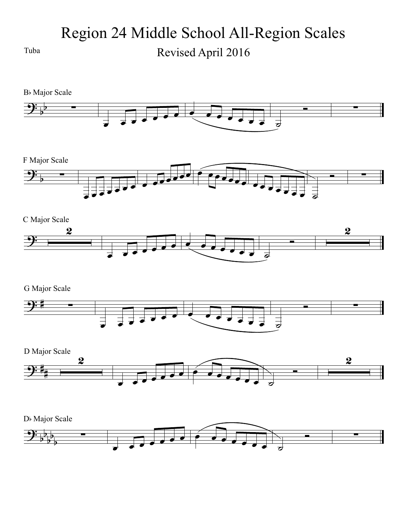Region 24 Middle School All-Region Scales Tuba Revised April 2016